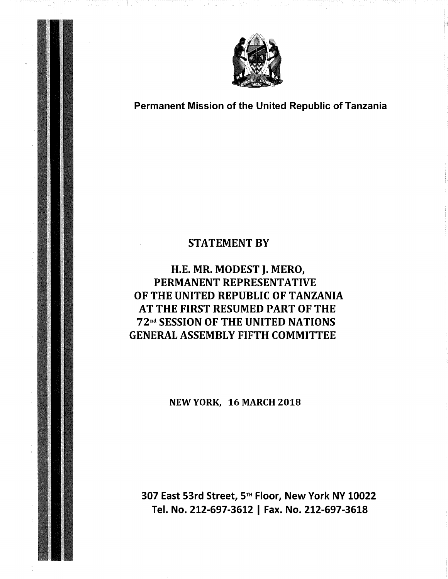

Permanent Mission of the United Republic of Tanzania

## STATEMENT BY

# H.E. MR. MODEST J. MERO, PERMANENT REPRESENTATIVE OF THE UNITED REPUBLIC OF TANZANIA AT THE FIRST RESUMED PART OF THE 72"d SESSION OF THE UNITED NATIONS GENERAL ASSEMBLY FIFTH COMMITTEE

NEW YORK, 16 MARCH 2018

307 East 53rd Street, 5<sup>™</sup> Floor, New York NY 10022 Tel. No. 212-697-3612 | Fax. No. 212-697-3618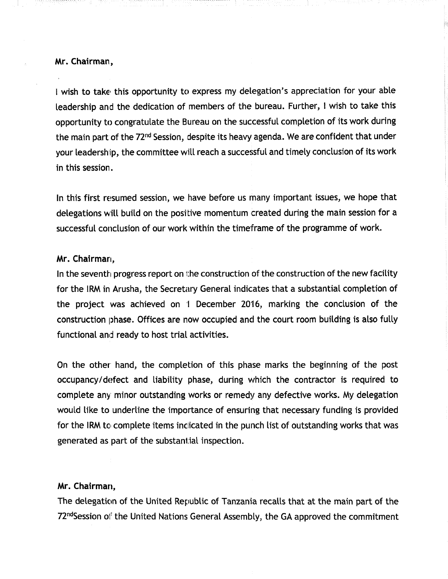### Mr. Chairman,

I wish to take this opportunity to express my delegation's appreciation for your able leadership and the dedication of members of the bureau. Further, ! wish to take this opportunity to congratulate the Bureau on the successful completion of its work during the main part of the 72<sup>nd</sup> Session, despite its heavy agenda. We are confident that under your leadership, the committee will reach a successful and timely conclusion of its work in this session.

In this first resumed session, we have before us many important issues, we hope that delegations will build on the positive momentum created during the main session for a successful conclusion of our work within the timeframe of the programme of work.

### Mr. Chairman,

In the seventh progress report on the construction of the construction of the new facility for the IRM in Arusha, the Secretary General indicates that a substantial completion of the project was achieved on I December 20'16, marking the conclusion of the construction phase. Offices are now occupied and the court room building is also fully functional and ready to host trial activities.

On the other hand, the completion of this phase marks the beginning of the post occupancy/defect and liability phase, during which the contractor is required to complete any minor outstanding works or remedy any defective works. My delegation would like to underline the importance of ensuring that necessary funding is provided for the IRM to complete items indicated in the punch list of outstanding works that was generated as part of the substantial inspection.

#### Mr. Chairman,

The delegation of the United Republic of Tanzania recalls that at the main part of the 72<sup>nd</sup>Session of the United Nations General Assembly, the GA approved the commitment